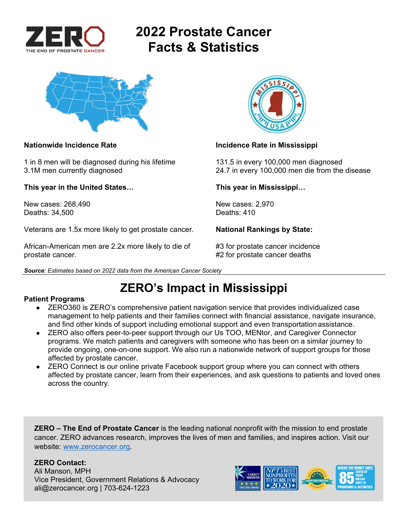

# **2022 Prostate Cancer Facts & Statistics**



#### **Nationwide Incidence Rate Incidence Rate in Mississippi**

1 in 8 men will be diagnosed during his lifetime 131.5 in every 100,000 men diagnosed 3.1M men currently diagnosed 24.7 in every 100,000 men die from the disease

**This year in the United States… This year in Mississippi…** 

New cases: 268,490 New cases: 2,970<br>Deaths: 34.500 Deaths: 410 Deaths: 34,500

Veterans are 1.5x more likely to get prostate cancer. **National Rankings by State:** 

African-American men are 2.2x more likely to die of  $#3$  for prostate cancer incidence prostate cancer. **A constant of the set of the set of the set of the set of the set of the set of the set of the set of the set of the set of the set of the set of the set of the set of the set of the set of the set of the** 



*Source: Estimates based on 2022 data from the American Cancer Society* 

## **ZERO's Impact in Mississippi**

#### **Patient Programs**

- ZERO360 is ZERO's comprehensive patient navigation service that provides individualized case management to help patients and their families connect with financial assistance, navigate insurance, and find other kinds of support including emotional support and even transportation assistance.
- ZERO also offers peer-to-peer support through our Us TOO, MENtor, and Caregiver Connector programs. We match patients and caregivers with someone who has been on a similar journey to provide ongoing, one-on-one support. We also run a nationwide network of support groups for those affected by prostate cancer.
- ZERO Connect is our online private Facebook support group where you can connect with others affected by prostate cancer, learn from their experiences, and ask questions to patients and loved ones across the country.

**ZERO – The End of Prostate Cancer** is the leading national nonprofit with the mission to end prostate cancer. ZERO advances research, improves the lives of men and families, and inspires action. Visit our website: www.zerocancer.org.

### **ZERO Contact:**

Ali Manson, MPH Vice President, Government Relations & Advocacy ali@zerocancer.org | 703-624-1223